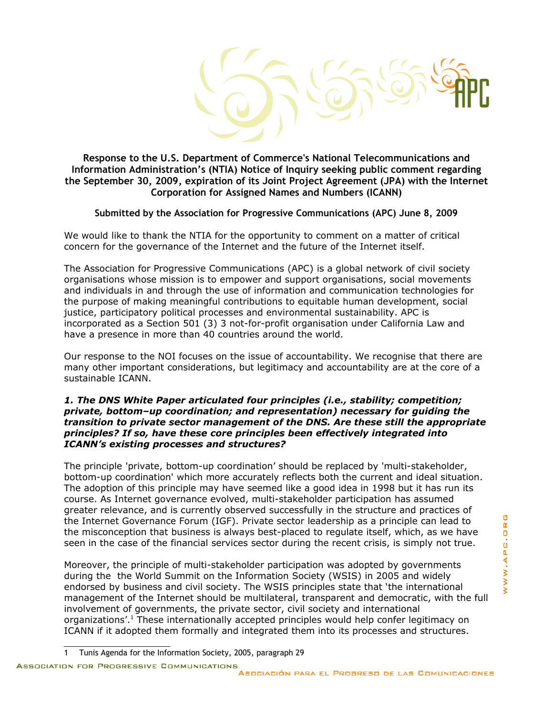**Response to the U.S. Department of Commerce's National Telecommunications and Information Administration's (NTIA) Notice of Inquiry seeking public comment regarding the September 30, 2009, expiration of its Joint Project Agreement (JPA) with the Internet Corporation for Assigned Names and Numbers (ICANN)**

## **Submitted by the Association for Progressive Communications (APC) June 8, 2009**

We would like to thank the NTIA for the opportunity to comment on a matter of critical concern for the governance of the Internet and the future of the Internet itself.

The Association for Progressive Communications (APC) is a global network of civil society organisations whose mission is to empower and support organisations, social movements and individuals in and through the use of information and communication technologies for the purpose of making meaningful contributions to equitable human development, social justice, participatory political processes and environmental sustainability. APC is incorporated as a Section 501 (3) 3 not-for-profit organisation under California Law and have a presence in more than 40 countries around the world.

Our response to the NOI focuses on the issue of accountability. We recognise that there are many other important considerations, but legitimacy and accountability are at the core of a sustainable ICANN.

## *1. The DNS White Paper articulated four principles (i.e., stability; competition; private, bottom–up coordination; and representation) necessary for guiding the transition to private sector management of the DNS. Are these still the appropriate principles? If so, have these core principles been effectively integrated into ICANN's existing processes and structures?*

The principle 'private, bottom-up coordination' should be replaced by 'multi-stakeholder, bottom-up coordination' which more accurately reflects both the current and ideal situation. The adoption of this principle may have seemed like a good idea in 1998 but it has run its course. As Internet governance evolved, multi-stakeholder participation has assumed greater relevance, and is currently observed successfully in the structure and practices of the Internet Governance Forum (IGF). Private sector leadership as a principle can lead to the misconception that business is always best-placed to regulate itself, which, as we have seen in the case of the financial services sector during the recent crisis, is simply not true.

Moreover, the principle of multi-stakeholder participation was adopted by governments during the the World Summit on the Information Society (WSIS) in 2005 and widely endorsed by business and civil society. The WSIS principles state that 'the international management of the Internet should be multilateral, transparent and democratic, with the full involvement of governments, the private sector, civil society and international organizations'.<sup>[1](#page-0-0)</sup> These internationally accepted principles would help confer legitimacy on ICANN if it adopted them formally and integrated them into its processes and structures.

<span id="page-0-0"></span><sup>1</sup> Tunis Agenda for the Information Society, 2005, paragraph 29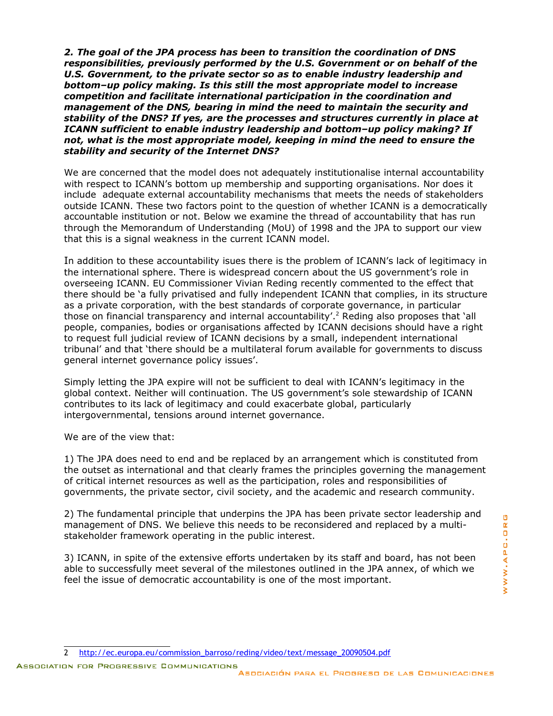*2. The goal of the JPA process has been to transition the coordination of DNS responsibilities, previously performed by the U.S. Government or on behalf of the U.S. Government, to the private sector so as to enable industry leadership and bottom–up policy making. Is this still the most appropriate model to increase competition and facilitate international participation in the coordination and management of the DNS, bearing in mind the need to maintain the security and stability of the DNS? If yes, are the processes and structures currently in place at ICANN sufficient to enable industry leadership and bottom–up policy making? If not, what is the most appropriate model, keeping in mind the need to ensure the stability and security of the Internet DNS?*

We are concerned that the model does not adequately institutionalise internal accountability with respect to ICANN's bottom up membership and supporting organisations. Nor does it include adequate external accountability mechanisms that meets the needs of stakeholders outside ICANN. These two factors point to the question of whether ICANN is a democratically accountable institution or not. Below we examine the thread of accountability that has run through the Memorandum of Understanding (MoU) of 1998 and the JPA to support our view that this is a signal weakness in the current ICANN model.

In addition to these accountability isues there is the problem of ICANN's lack of legitimacy in the international sphere. There is widespread concern about the US government's role in overseeing ICANN. EU Commissioner Vivian Reding recently commented to the effect that there should be 'a fully privatised and fully independent ICANN that complies, in its structure as a private corporation, with the best standards of corporate governance, in particular those on financial transparency and internal accountability'.<sup>[2](#page-1-0)</sup> Reding also proposes that 'all people, companies, bodies or organisations affected by ICANN decisions should have a right to request full judicial review of ICANN decisions by a small, independent international tribunal' and that 'there should be a multilateral forum available for governments to discuss general internet governance policy issues'.

Simply letting the JPA expire will not be sufficient to deal with ICANN's legitimacy in the global context. Neither will continuation. The US government's sole stewardship of ICANN contributes to its lack of legitimacy and could exacerbate global, particularly intergovernmental, tensions around internet governance.

We are of the view that:

1) The JPA does need to end and be replaced by an arrangement which is constituted from the outset as international and that clearly frames the principles governing the management of critical internet resources as well as the participation, roles and responsibilities of governments, the private sector, civil society, and the academic and research community.

2) The fundamental principle that underpins the JPA has been private sector leadership and management of DNS. We believe this needs to be reconsidered and replaced by a multistakeholder framework operating in the public interest.

3) ICANN, in spite of the extensive efforts undertaken by its staff and board, has not been able to successfully meet several of the milestones outlined in the JPA annex, of which we feel the issue of democratic accountability is one of the most important.

<span id="page-1-0"></span><sup>2</sup> [http://ec.europa.eu/commission\\_barroso/reding/video/text/message\\_20090504.pdf](http://ec.europa.eu/commission_barroso/reding/video/text/message_20090504.pdf)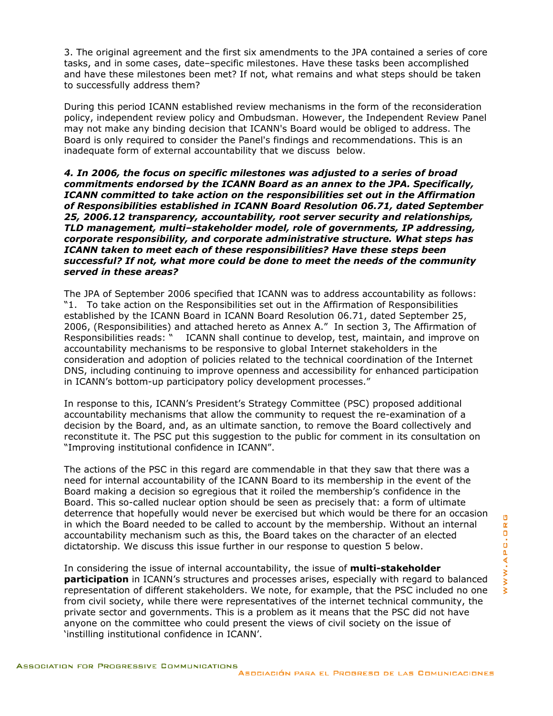3. The original agreement and the first six amendments to the JPA contained a series of core tasks, and in some cases, date–specific milestones. Have these tasks been accomplished and have these milestones been met? If not, what remains and what steps should be taken to successfully address them?

During this period ICANN established review mechanisms in the form of the reconsideration policy, independent review policy and Ombudsman. However, the Independent Review Panel may not make any binding decision that ICANN's Board would be obliged to address. The Board is only required to consider the Panel's findings and recommendations. This is an inadequate form of external accountability that we discuss below.

*4. In 2006, the focus on specific milestones was adjusted to a series of broad commitments endorsed by the ICANN Board as an annex to the JPA. Specifically, ICANN committed to take action on the responsibilities set out in the Affirmation of Responsibilities established in ICANN Board Resolution 06.71, dated September 25, 2006.12 transparency, accountability, root server security and relationships, TLD management, multi–stakeholder model, role of governments, IP addressing, corporate responsibility, and corporate administrative structure. What steps has ICANN taken to meet each of these responsibilities? Have these steps been successful? If not, what more could be done to meet the needs of the community served in these areas?*

The JPA of September 2006 specified that ICANN was to address accountability as follows: "1. To take action on the Responsibilities set out in the Affirmation of Responsibilities established by the ICANN Board in ICANN Board Resolution 06.71, dated September 25, 2006, (Responsibilities) and attached hereto as Annex A." In section 3, The Affirmation of Responsibilities reads: " ICANN shall continue to develop, test, maintain, and improve on accountability mechanisms to be responsive to global Internet stakeholders in the consideration and adoption of policies related to the technical coordination of the Internet DNS, including continuing to improve openness and accessibility for enhanced participation in ICANN's bottom-up participatory policy development processes."

In response to this, ICANN's President's Strategy Committee (PSC) proposed additional accountability mechanisms that allow the community to request the re-examination of a decision by the Board, and, as an ultimate sanction, to remove the Board collectively and reconstitute it. The PSC put this suggestion to the public for comment in its consultation on "Improving institutional confidence in ICANN".

The actions of the PSC in this regard are commendable in that they saw that there was a need for internal accountability of the ICANN Board to its membership in the event of the Board making a decision so egregious that it roiled the membership's confidence in the Board. This so-called nuclear option should be seen as precisely that: a form of ultimate deterrence that hopefully would never be exercised but which would be there for an occasion in which the Board needed to be called to account by the membership. Without an internal accountability mechanism such as this, the Board takes on the character of an elected dictatorship. We discuss this issue further in our response to question 5 below.

In considering the issue of internal accountability, the issue of **multi-stakeholder participation** in ICANN's structures and processes arises, especially with regard to balanced representation of different stakeholders. We note, for example, that the PSC included no one from civil society, while there were representatives of the internet technical community, the private sector and governments. This is a problem as it means that the PSC did not have anyone on the committee who could present the views of civil society on the issue of 'instilling institutional confidence in ICANN'.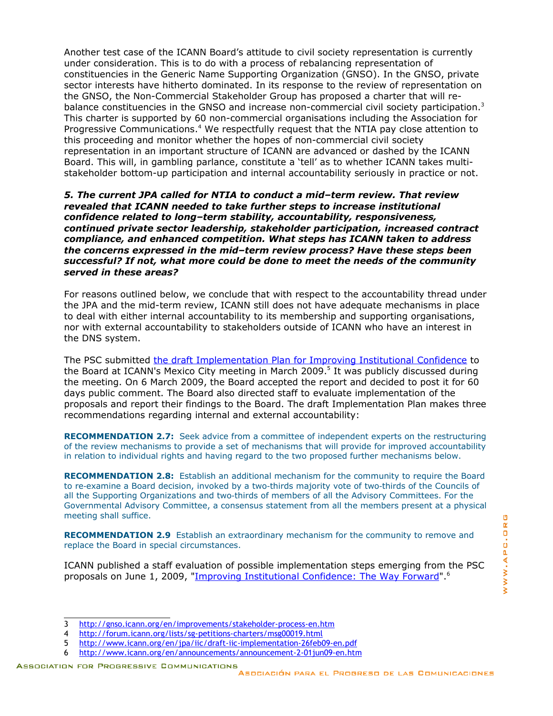Another test case of the ICANN Board's attitude to civil society representation is currently under consideration. This is to do with a process of rebalancing representation of constituencies in the Generic Name Supporting Organization (GNSO). In the GNSO, private sector interests have hitherto dominated. In its response to the review of representation on the GNSO, the Non-Commercial Stakeholder Group has proposed a charter that will re-balance constituencies in the GNSO and increase non-commercial civil society participation.<sup>[3](#page-3-0)</sup> This charter is supported by 60 non-commercial organisations including the Association for Progressive Communications.<sup>[4](#page-3-1)</sup> We respectfully request that the NTIA pay close attention to this proceeding and monitor whether the hopes of non-commercial civil society representation in an important structure of ICANN are advanced or dashed by the ICANN Board. This will, in gambling parlance, constitute a 'tell' as to whether ICANN takes multistakeholder bottom-up participation and internal accountability seriously in practice or not.

*5. The current JPA called for NTIA to conduct a mid–term review. That review revealed that ICANN needed to take further steps to increase institutional confidence related to long–term stability, accountability, responsiveness, continued private sector leadership, stakeholder participation, increased contract compliance, and enhanced competition. What steps has ICANN taken to address the concerns expressed in the mid–term review process? Have these steps been successful? If not, what more could be done to meet the needs of the community served in these areas?*

For reasons outlined below, we conclude that with respect to the accountability thread under the JPA and the mid-term review, ICANN still does not have adequate mechanisms in place to deal with either internal accountability to its membership and supporting organisations, nor with external accountability to stakeholders outside of ICANN who have an interest in the DNS system.

The PSC submitted [the draft Implementation Plan for Improving Institutional Confidence](http://www.icann.org/en/jpa/iic/draft-iic-implementation-26feb09-en.pdf) to the Board at ICANN's Mexico City meeting in March 2009.<sup>[5](#page-3-2)</sup> It was publicly discussed during the meeting. On 6 March 2009, the Board accepted the report and decided to post it for 60 days public comment. The Board also directed staff to evaluate implementation of the proposals and report their findings to the Board. The draft Implementation Plan makes three recommendations regarding internal and external accountability:

**RECOMMENDATION 2.7:** Seek advice from a committee of independent experts on the restructuring of the review mechanisms to provide a set of mechanisms that will provide for improved accountability in relation to individual rights and having regard to the two proposed further mechanisms below.

**RECOMMENDATION 2.8:** Establish an additional mechanism for the community to require the Board to re-examine a Board decision, invoked by a two-thirds majority vote of two-thirds of the Councils of all the Supporting Organizations and two-thirds of members of all the Advisory Committees. For the Governmental Advisory Committee, a consensus statement from all the members present at a physical meeting shall suffice.

**RECOMMENDATION 2.9** Establish an extraordinary mechanism for the community to remove and replace the Board in special circumstances.

ICANN published a staff evaluation of possible implementation steps emerging from the PSC proposals on June 1, 2009, ["Improving Institutional Confidence: The Way Forward"](http://www.icann.org/en/jpa/iic/iic-the-way-forward-31may09-en.pdf).<sup>[6](#page-3-3)</sup>

<span id="page-3-0"></span><sup>3</sup> <http://gnso.icann.org/en/improvements/stakeholder-process-en.htm>

<span id="page-3-1"></span><sup>4</sup> <http://forum.icann.org/lists/sg-petitions-charters/msg00019.html>

<span id="page-3-2"></span><sup>5</sup> <http://www.icann.org/en/jpa/iic/draft-iic-implementation-26feb09-en.pdf>

<span id="page-3-3"></span><sup>6</sup> <http://www.icann.org/en/announcements/announcement-2-01jun09-en.htm>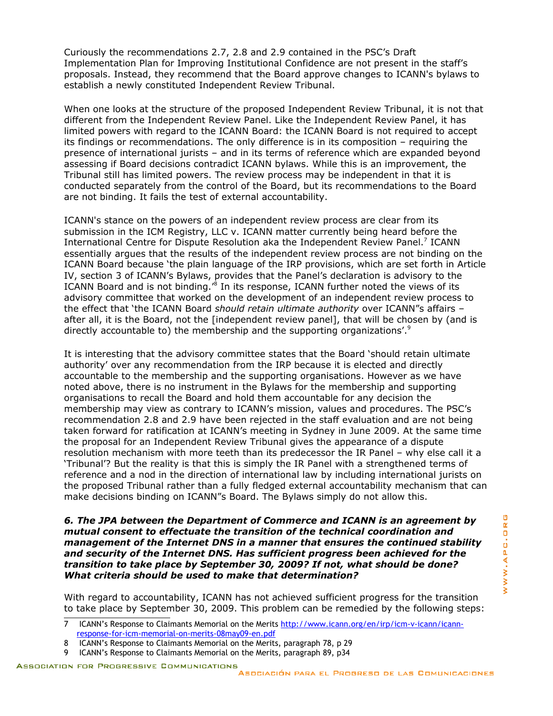Curiously the recommendations 2.7, 2.8 and 2.9 contained in the PSC's Draft Implementation Plan for Improving Institutional Confidence are not present in the staff's proposals. Instead, they recommend that the Board approve changes to ICANN's bylaws to establish a newly constituted Independent Review Tribunal.

When one looks at the structure of the proposed Independent Review Tribunal, it is not that different from the Independent Review Panel. Like the Independent Review Panel, it has limited powers with regard to the ICANN Board: the ICANN Board is not required to accept its findings or recommendations. The only difference is in its composition – requiring the presence of international jurists – and in its terms of reference which are expanded beyond assessing if Board decisions contradict ICANN bylaws. While this is an improvement, the Tribunal still has limited powers. The review process may be independent in that it is conducted separately from the control of the Board, but its recommendations to the Board are not binding. It fails the test of external accountability.

ICANN's stance on the powers of an independent review process are clear from its submission in the ICM Registry, LLC v. ICANN matter currently being heard before the International Centre for Dispute Resolution aka the Independent Review Panel.<sup>[7](#page-4-0)</sup> ICANN essentially argues that the results of the independent review process are not binding on the ICANN Board because 'the plain language of the IRP provisions, which are set forth in Article IV, section 3 of ICANN's Bylaws, provides that the Panel's declaration is advisory to the ICANN Board and is not binding.<sup>[8](#page-4-1)</sup> In its response, ICANN further noted the views of its advisory committee that worked on the development of an independent review process to the effect that 'the ICANN Board *should retain ultimate authority* over ICANN"s affairs – after all, it is the Board, not the [independent review panel], that will be chosen by (and is directly accountable to) the membership and the supporting organizations'.[9](#page-4-2)

It is interesting that the advisory committee states that the Board 'should retain ultimate authority' over any recommendation from the IRP because it is elected and directly accountable to the membership and the supporting organisations. However as we have noted above, there is no instrument in the Bylaws for the membership and supporting organisations to recall the Board and hold them accountable for any decision the membership may view as contrary to ICANN's mission, values and procedures. The PSC's recommendation 2.8 and 2.9 have been rejected in the staff evaluation and are not being taken forward for ratification at ICANN's meeting in Sydney in June 2009. At the same time the proposal for an Independent Review Tribunal gives the appearance of a dispute resolution mechanism with more teeth than its predecessor the IR Panel – why else call it a 'Tribunal'? But the reality is that this is simply the IR Panel with a strengthened terms of reference and a nod in the direction of international law by including international jurists on the proposed Tribunal rather than a fully fledged external accountability mechanism that can make decisions binding on ICANN"s Board. The Bylaws simply do not allow this.

*6. The JPA between the Department of Commerce and ICANN is an agreement by mutual consent to effectuate the transition of the technical coordination and management of the Internet DNS in a manner that ensures the continued stability and security of the Internet DNS. Has sufficient progress been achieved for the transition to take place by September 30, 2009? If not, what should be done? What criteria should be used to make that determination?*

With regard to accountability, ICANN has not achieved sufficient progress for the transition to take place by September 30, 2009. This problem can be remedied by the following steps:

- <span id="page-4-1"></span>8 ICANN's Response to Claimants Memorial on the Merits, paragraph 78, p 29
- <span id="page-4-2"></span>9 ICANN's Response to Claimants Memorial on the Merits, paragraph 89, p34

<span id="page-4-0"></span><sup>7</sup> ICANN's Response to Claimants Memorial on the Merits http://www.icann.org/en/irp/icm-y-icann/icann[response-for-icm-memorial-on-merits-08may09-en.pdf](http://www.icann.org/en/irp/icm-v-icann/icann-response-for-icm-memorial-on-merits-08may09-en.pdf)